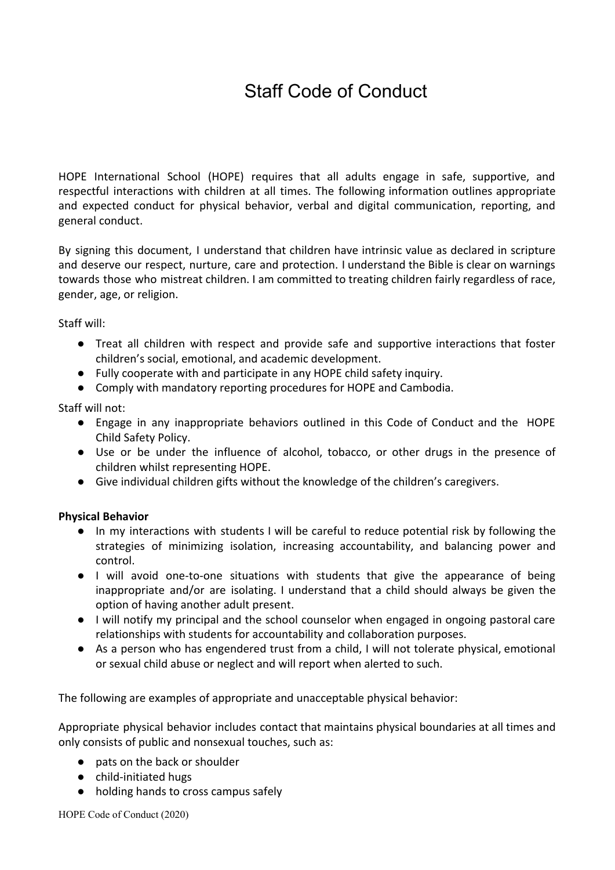# Staff Code of Conduct

HOPE International School (HOPE) requires that all adults engage in safe, supportive, and respectful interactions with children at all times. The following information outlines appropriate and expected conduct for physical behavior, verbal and digital communication, reporting, and general conduct.

By signing this document, I understand that children have intrinsic value as declared in scripture and deserve our respect, nurture, care and protection. I understand the Bible is clear on warnings towards those who mistreat children. I am committed to treating children fairly regardless of race, gender, age, or religion.

Staff will:

- Treat all children with respect and provide safe and supportive interactions that foster children's social, emotional, and academic development.
- Fully cooperate with and participate in any HOPE child safety inquiry.
- Comply with mandatory reporting procedures for HOPE and Cambodia.

Staff will not:

- Engage in any inappropriate behaviors outlined in this Code of Conduct and the HOPE Child Safety Policy.
- Use or be under the influence of alcohol, tobacco, or other drugs in the presence of children whilst representing HOPE.
- Give individual children gifts without the knowledge of the children's caregivers.

## **Physical Behavior**

- In my interactions with students I will be careful to reduce potential risk by following the strategies of minimizing isolation, increasing accountability, and balancing power and control.
- I will avoid one-to-one situations with students that give the appearance of being inappropriate and/or are isolating. I understand that a child should always be given the option of having another adult present.
- I will notify my principal and the school counselor when engaged in ongoing pastoral care relationships with students for accountability and collaboration purposes.
- As a person who has engendered trust from a child, I will not tolerate physical, emotional or sexual child abuse or neglect and will report when alerted to such.

The following are examples of appropriate and unacceptable physical behavior:

Appropriate physical behavior includes contact that maintains physical boundaries at all times and only consists of public and nonsexual touches, such as:

- pats on the back or shoulder
- child-initiated hugs
- holding hands to cross campus safely

HOPE Code of Conduct (2020)